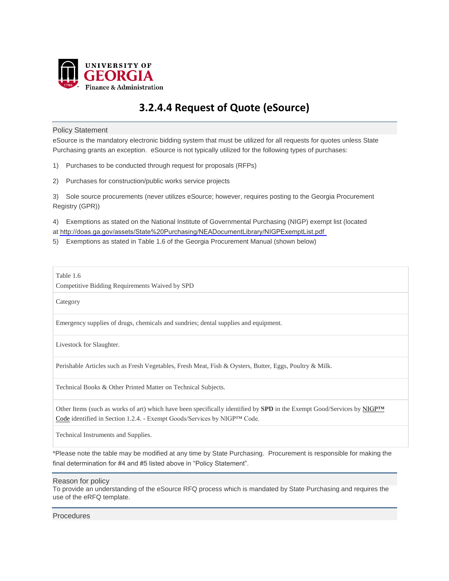

# **3.2.4.4 Request of Quote (eSource)**

## Policy Statement

eSource is the mandatory electronic bidding system that must be utilized for all requests for quotes unless State Purchasing grants an exception. eSource is not typically utilized for the following types of purchases:

- 1) Purchases to be conducted through request for proposals (RFPs)
- 2) Purchases for construction/public works service projects

3) Sole source procurements (never utilizes eSource; however, requires posting to the Georgia Procurement Registry (GPR))

4) Exemptions as stated on the National Institute of Governmental Purchasing (NIGP) exempt list (located at <http://doas.ga.gov/assets/State%20Purchasing/NEADocumentLibrary/NIGPExemptList.pdf>

5) Exemptions as stated in Table 1.6 of the Georgia Procurement Manual (shown below)

Table 1.6

Competitive Bidding Requirements Waived by SPD

Category

Emergency supplies of drugs, chemicals and sundries; dental supplies and equipment.

Livestock for Slaughter.

Perishable Articles such as Fresh Vegetables, Fresh Meat, Fish & Oysters, Butter, Eggs, Poultry & Milk.

Technical Books & Other Printed Matter on Technical Subjects.

Other Items (such as works of art) which have been specifically identified by **SPD** in the Exempt Good/Services by [NIGP™](http://doas.ga.gov/StateLocal/SPD/Docs_SPD_General/nigpexemptlist.pdf) [Code](http://doas.ga.gov/StateLocal/SPD/Docs_SPD_General/nigpexemptlist.pdf) identified in Section 1.2.4. - Exempt Goods/Services by NIGP™ Code.

Technical Instruments and Supplies.

\*Please note the table may be modified at any time by State Purchasing. Procurement is responsible for making the final determination for #4 and #5 listed above in "Policy Statement".

Reason for policy

To provide an understanding of the eSource RFQ process which is mandated by State Purchasing and requires the use of the eRFQ template.

Procedures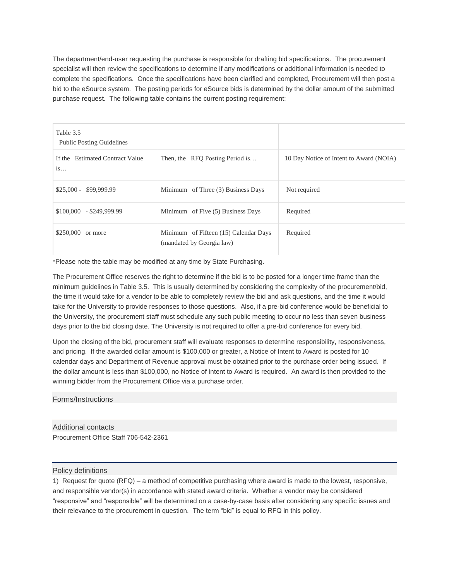The department/end-user requesting the purchase is responsible for drafting bid specifications. The procurement specialist will then review the specifications to determine if any modifications or additional information is needed to complete the specifications. Once the specifications have been clarified and completed, Procurement will then post a bid to the eSource system. The posting periods for eSource bids is determined by the dollar amount of the submitted purchase request. The following table contains the current posting requirement:

| Table 3.5<br><b>Public Posting Guidelines</b> |                                                                    |                                         |
|-----------------------------------------------|--------------------------------------------------------------------|-----------------------------------------|
| If the Estimated Contract Value<br>1S         | Then, the RFQ Posting Period is                                    | 10 Day Notice of Intent to Award (NOIA) |
| $$25,000 - $99,999.99$                        | Minimum of Three (3) Business Days                                 | Not required                            |
| $$100,000 - $249,999.99$                      | Minimum of Five (5) Business Days                                  | Required                                |
| \$250,000 or more                             | Minimum of Fifteen (15) Calendar Days<br>(mandated by Georgia law) | Required                                |

\*Please note the table may be modified at any time by State Purchasing.

The Procurement Office reserves the right to determine if the bid is to be posted for a longer time frame than the minimum guidelines in Table 3.5. This is usually determined by considering the complexity of the procurement/bid, the time it would take for a vendor to be able to completely review the bid and ask questions, and the time it would take for the University to provide responses to those questions. Also, if a pre-bid conference would be beneficial to the University, the procurement staff must schedule any such public meeting to occur no less than seven business days prior to the bid closing date. The University is not required to offer a pre-bid conference for every bid.

Upon the closing of the bid, procurement staff will evaluate responses to determine responsibility, responsiveness, and pricing. If the awarded dollar amount is \$100,000 or greater, a Notice of Intent to Award is posted for 10 calendar days and Department of Revenue approval must be obtained prior to the purchase order being issued. If the dollar amount is less than \$100,000, no Notice of Intent to Award is required. An award is then provided to the winning bidder from the Procurement Office via a purchase order.

Forms/Instructions

Additional contacts Procurement Office Staff 706-542-2361

## Policy definitions

1) Request for quote (RFQ) – a method of competitive purchasing where award is made to the lowest, responsive, and responsible vendor(s) in accordance with stated award criteria. Whether a vendor may be considered "responsive" and "responsible" will be determined on a case-by-case basis after considering any specific issues and their relevance to the procurement in question. The term "bid" is equal to RFQ in this policy.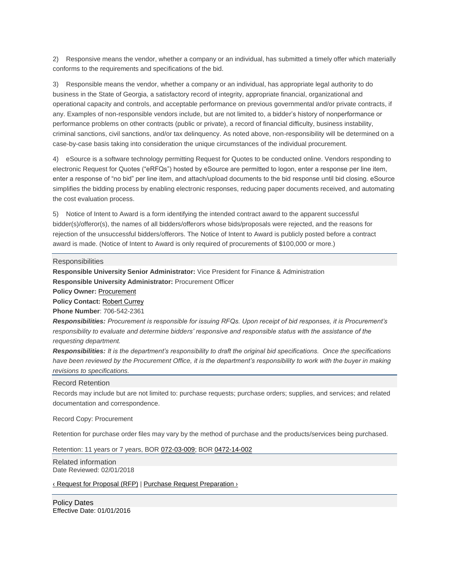2) Responsive means the vendor, whether a company or an individual, has submitted a timely offer which materially conforms to the requirements and specifications of the bid.

3) Responsible means the vendor, whether a company or an individual, has appropriate legal authority to do business in the State of Georgia, a satisfactory record of integrity, appropriate financial, organizational and operational capacity and controls, and acceptable performance on previous governmental and/or private contracts, if any. Examples of non-responsible vendors include, but are not limited to, a bidder's history of nonperformance or performance problems on other contracts (public or private), a record of financial difficulty, business instability, criminal sanctions, civil sanctions, and/or tax delinquency. As noted above, non-responsibility will be determined on a case-by-case basis taking into consideration the unique circumstances of the individual procurement.

4) eSource is a software technology permitting Request for Quotes to be conducted online. Vendors responding to electronic Request for Quotes ("eRFQs") hosted by eSource are permitted to logon, enter a response per line item, enter a response of "no bid" per line item, and attach/upload documents to the bid response until bid closing. eSource simplifies the bidding process by enabling electronic responses, reducing paper documents received, and automating the cost evaluation process.

5) Notice of Intent to Award is a form identifying the intended contract award to the apparent successful bidder(s)/offeror(s), the names of all bidders/offerors whose bids/proposals were rejected, and the reasons for rejection of the unsuccessful bidders/offerors. The Notice of Intent to Award is publicly posted before a contract award is made. (Notice of Intent to Award is only required of procurements of \$100,000 or more.)

### **Responsibilities**

**Responsible University Senior Administrator:** Vice President for Finance & Administration **Responsible University Administrator:** Procurement Officer

**Policy Owner:** [Procurement](mailto:procure@uga.edu)

**Policy Contact:** [Robert Currey](mailto:Bob.Currey@uga.edu)

**Phone Number**: 706-542-2361

*Responsibilities: Procurement is responsible for issuing RFQs. Upon receipt of bid responses, it is Procurement's*  responsibility to evaluate and determine bidders' responsive and responsible status with the assistance of the *requesting department.*

*Responsibilities: It is the department's responsibility to draft the original bid specifications. Once the specifications*  have been reviewed by the Procurement Office, it is the department's responsibility to work with the buyer in making *revisions to specifications.*

### Record Retention

Records may include but are not limited to: purchase requests; purchase orders; supplies, and services; and related documentation and correspondence.

### Record Copy: Procurement

Retention for purchase order files may vary by the method of purchase and the products/services being purchased.

Retention: 11 years or 7 years, BOR [072-03-009;](http://www.usg.edu/records_management/schedules/usg_search/e6bea2d47d4fb48a11caa0a344939a70/) BOR [0472-14-002](http://www.usg.edu/records_management/schedules/usg_search/5218463b8632b7b84135798ba4e00dc7/)

Related information Date Reviewed: 02/01/2018

‹ Request for [Proposal](http://policies.uga.edu/Purchasing-and-Payment-Processing/Purchasing-and-Payment-Mechanisms/Purchase-Requests/Methods-of-Purchasing-Against-a-Purchase-Request/Request-for-Proposal-RFP/) (RFP) | Purchase Request [Preparation](http://policies.uga.edu/Purchasing-and-Payment-Processing/Purchasing-and-Payment-Mechanisms/Purchase-Requests/Purchase-Request-Preparation/) ›

Policy Dates Effective Date: 01/01/2016